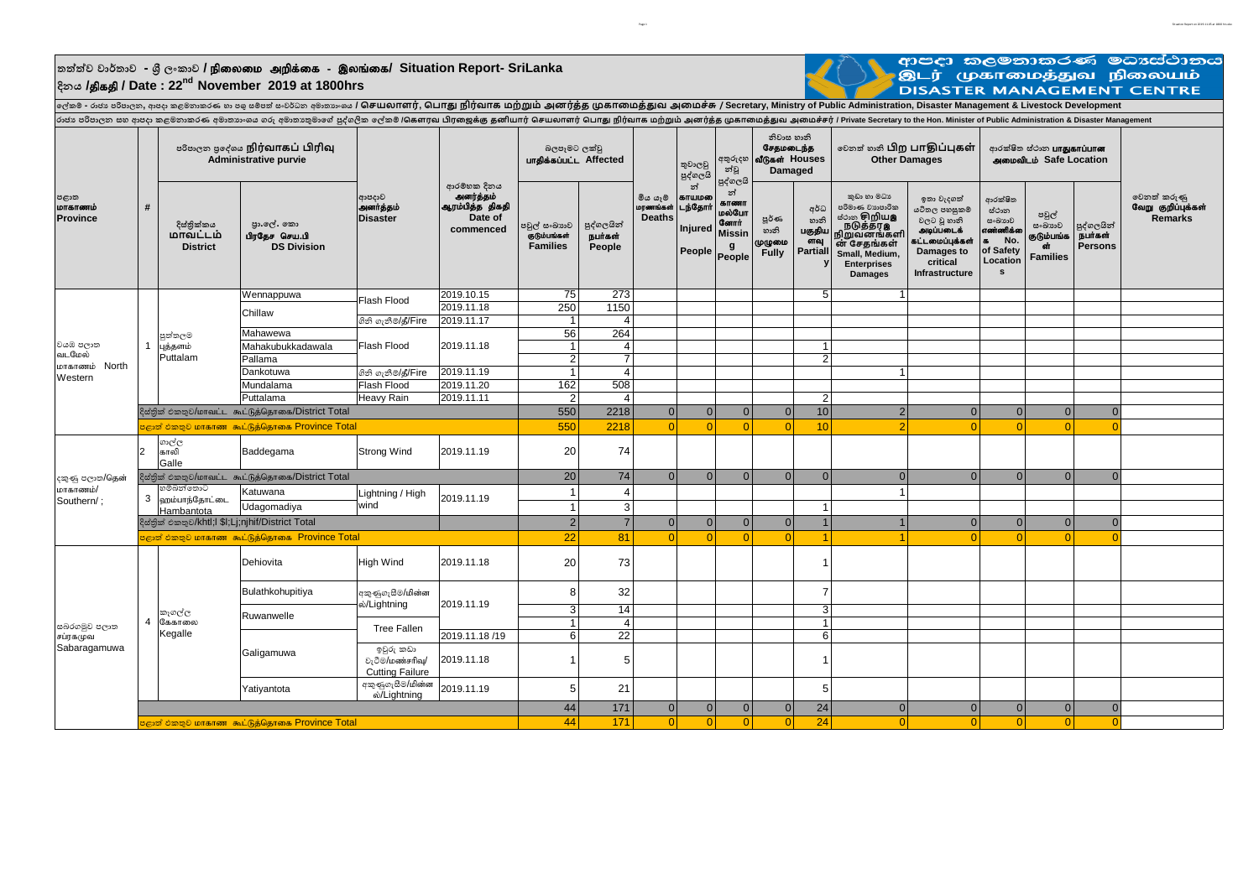## $\frac{1}{2}$ තත්ත්ව වාර්තාව - ශී ලංකාව **/ நிலைமை அறிக்கை** - இலங்கை/ Situation Report- SriLanka **දිනය /**jpfjp **/ Date : 22nd November 2019 at 1800hrs**



Page 1 Situation Report on 2019.11.05 at 1800 hrs.1600 hrs.2019.11.05 at 1800 hrs.2019.11.05 at 1800 hrs.2019.11.05 at 1800 hrs.2019.11.05 at 1800 hrs.2019.11.05 at 1800 hrs.1600 hrs.2019.11.05 at 1800 hrs.2019.11.05 at 18

**ලේකම් - රාජ්ය පරිපාලන, ආපදා කළමනාකරණ හා පශු ස්ත්ම්පත් ස්ත්ංවර්ධන අමාතයාංශය / சேயலாளர், சபாது நிரவ் ாக மற்றும் அனரத் ்த முகாமமத்துவ அமமேசு் / Secretary, Ministry of Public Administration, Disaster Management & Livestock Development** ്രാമ്പ് മാത്രം കാര്യം കൊണ്ടുകൊണ്ടുന്നു. അവല്ലാത്രം അവല്ലാത്രം പ്രാമ്പ് കൊണ്ടുന്നത് പ്രാമ്പ് കണ്ടി കണ്ടി കണ്ടി കണ്ട് കണ്ട് കണ്ട് കണ്ട് പറയുന്നു. അവല് പ്രാമ്പ് Private Secretary to the Hon. Minister of Public Administratio

| පළාත<br>மாகாணம்<br><b>Province</b>             |                                                             | в கேஜ் திர்வாகப் பிரிவு<br><b>Administrative purvie</b>         |                                                              |                                                        |                                                                     | බලපෑමට ලක්වූ<br>பாகிக்கப்பட்ட Affected           |                                 |                                      | තුවාලවු<br>පුද්ගලයි                          | අතුරුදහ<br>න්වූ<br>පුද්ගලයි                                          | නිවාස හානි<br>சேதமடைந்த<br>வீடுகள் Houses<br>Damaged |                                                  | லைவு கை பிற பாதிப்புகள்<br><b>Other Damages</b>                                                                                                                              |                                                                                                                                | ආරක්ෂිත ස්ථාන <b>பாதுகாப்பான</b><br>அமைவிடம் Safe Location                                           |                                                         |                                         |                                              |
|------------------------------------------------|-------------------------------------------------------------|-----------------------------------------------------------------|--------------------------------------------------------------|--------------------------------------------------------|---------------------------------------------------------------------|--------------------------------------------------|---------------------------------|--------------------------------------|----------------------------------------------|----------------------------------------------------------------------|------------------------------------------------------|--------------------------------------------------|------------------------------------------------------------------------------------------------------------------------------------------------------------------------------|--------------------------------------------------------------------------------------------------------------------------------|------------------------------------------------------------------------------------------------------|---------------------------------------------------------|-----------------------------------------|----------------------------------------------|
|                                                | #                                                           | දිස්තික්කය<br>மாவட்டம்<br><b>District</b>                       | පා.ලේ. කො<br>பிரதேச செய.பி<br><b>DS Division</b>             | ආපදාව<br><b>அனர்த்தம்</b><br><b>Disaster</b>           | ආරම්භක දිනය<br>அனர்த்தம்<br>ஆரம்பித்த திகதி<br>Date of<br>commenced | පවුල් සංඛාගාව<br>குடும்பங்கள்<br><b>Families</b> | පුද්ගලයින්<br>நபர்கள்<br>People | මිය යෑම<br>மரணங்கள்<br><b>Deaths</b> | න්<br>காயமலை<br>டந்தோர்<br>Injured<br>People | න්<br>காணா<br>மல்போ<br><b>Commit</b><br><b>Missin</b><br>g<br>People | <b>පූර්</b> ණ<br>හානි<br>முழுமை<br><b>Fully</b>      | අර්ධ<br>හානි<br>பகுதிய<br>ளவு<br><b>Partiall</b> | කුඩා හා මධා<br>පරිමාණ වාහපාරික<br><b>க்</b> ்கை சிறிய <b>இ</b><br>் நடுத்தர <b>இ</b><br>நிறுவனங்களி<br>ன் சேதங்கள்<br>Small, Medium,<br><b>Enterprises</b><br><b>Damages</b> | ඉතා වැදගත්<br>යටිතල පහසුකම්<br>වලට වූ හානි<br>அடிப்படைக்<br>கட்டமைப்புக்கள்<br>Damages to<br>critical<br><b>Infrastructure</b> | ආරක්ෂිත<br>ස්ථාන<br>සංඛාගව<br>எண்ணிக்க<br>No.<br>$\overline{a}$<br>of Safety<br>Location<br><b>s</b> | පවුල්<br>සංඛාහව<br>குடும்பங்க<br>cir<br><b>Families</b> | පුද්ගලයින්<br>நபர்கள்<br><b>Persons</b> | වෙනත් කරුණු<br>வேறு குறிப்புக்கள்<br>Remarks |
| වයඹ පලාත<br>வடமேல்<br>மாகாணம் North<br>Western |                                                             | පුත්තලම<br>புத்தளம்<br>Puttalam                                 | Wennappuwa                                                   | Flash Flood                                            | 2019.10.15                                                          | 75                                               | 273                             |                                      |                                              |                                                                      |                                                      | $5\overline{)}$                                  | $\overline{1}$                                                                                                                                                               |                                                                                                                                |                                                                                                      |                                                         |                                         |                                              |
|                                                |                                                             |                                                                 | Chillaw                                                      |                                                        | 2019.11.18                                                          | 250                                              | 1150                            |                                      |                                              |                                                                      |                                                      |                                                  |                                                                                                                                                                              |                                                                                                                                |                                                                                                      |                                                         |                                         |                                              |
|                                                |                                                             |                                                                 |                                                              | ගිනි ගැනීම/தீ/Fire                                     | 2019.11.17                                                          | $\overline{1}$                                   | $\overline{4}$                  |                                      |                                              |                                                                      |                                                      |                                                  |                                                                                                                                                                              |                                                                                                                                |                                                                                                      |                                                         |                                         |                                              |
|                                                |                                                             |                                                                 | Mahawewa                                                     | Flash Flood                                            | 2019.11.18                                                          | 56                                               | 264                             |                                      |                                              |                                                                      |                                                      |                                                  |                                                                                                                                                                              |                                                                                                                                |                                                                                                      |                                                         |                                         |                                              |
|                                                |                                                             |                                                                 | Mahakubukkadawala                                            |                                                        |                                                                     | 1                                                | $\overline{4}$                  |                                      |                                              |                                                                      |                                                      | $\mathbf{1}$                                     |                                                                                                                                                                              |                                                                                                                                |                                                                                                      |                                                         |                                         |                                              |
|                                                |                                                             |                                                                 | Pallama                                                      |                                                        |                                                                     | $\overline{2}$                                   | $\overline{7}$                  |                                      |                                              |                                                                      |                                                      | $\overline{2}$                                   |                                                                                                                                                                              |                                                                                                                                |                                                                                                      |                                                         |                                         |                                              |
|                                                |                                                             |                                                                 | Dankotuwa                                                    | ගිනි ගැනීම/தீ/Fire                                     | 2019.11.19                                                          | $\mathbf{1}$                                     | $\overline{4}$                  |                                      |                                              |                                                                      |                                                      |                                                  | $\overline{1}$                                                                                                                                                               |                                                                                                                                |                                                                                                      |                                                         |                                         |                                              |
|                                                |                                                             |                                                                 | Mundalama                                                    | Flash Flood                                            | 2019.11.20                                                          | 162                                              | 508                             |                                      |                                              |                                                                      |                                                      |                                                  |                                                                                                                                                                              |                                                                                                                                |                                                                                                      |                                                         |                                         |                                              |
|                                                |                                                             |                                                                 | Puttalama                                                    | Heavy Rain                                             | 2019.11.11                                                          | $\overline{2}$                                   | $\overline{4}$                  |                                      |                                              |                                                                      |                                                      | 2 <sup>1</sup>                                   |                                                                                                                                                                              |                                                                                                                                |                                                                                                      |                                                         |                                         |                                              |
|                                                | දිස්තික් එකතුව/மாவட்ட கூட்டுத்தொகை/District Total           |                                                                 |                                                              |                                                        |                                                                     |                                                  | 2218                            | 0                                    | $\overline{0}$                               | 0                                                                    | 0                                                    | 10                                               | 2 <sup>1</sup>                                                                                                                                                               | $\Omega$                                                                                                                       | 0                                                                                                    | $\Omega$                                                | $\Omega$                                |                                              |
|                                                | ்குன் එකතුව மாகாண கூட்டுத்தொகை Province Total               |                                                                 |                                                              |                                                        |                                                                     |                                                  | 2218                            | $\Omega$                             | $\Omega$                                     | $\Omega$                                                             | $\Omega$                                             | 10                                               | $\overline{2}$                                                                                                                                                               |                                                                                                                                | $\Omega$                                                                                             |                                                         |                                         |                                              |
|                                                |                                                             |                                                                 |                                                              |                                                        |                                                                     | 550                                              |                                 |                                      |                                              |                                                                      |                                                      |                                                  |                                                                                                                                                                              |                                                                                                                                |                                                                                                      |                                                         |                                         |                                              |
|                                                |                                                             | ගාල්ල<br>காலி<br>Galle                                          | Baddegama                                                    | <b>Strong Wind</b>                                     | 2019.11.19                                                          | 20                                               | 74                              |                                      |                                              |                                                                      |                                                      |                                                  |                                                                                                                                                                              |                                                                                                                                |                                                                                                      |                                                         |                                         |                                              |
| දකුණු පලාත/தென்                                |                                                             | දිස්තික් එකතුව/மாவட்ட கூட்டுத்தொகை/District Total               |                                                              |                                                        |                                                                     | 20                                               | 74                              | 0                                    | $\Omega$                                     | 0                                                                    | 0                                                    | $\Omega$                                         | $\overline{0}$                                                                                                                                                               | $\Omega$                                                                                                                       | 0                                                                                                    | $\Omega$                                                | $\Omega$                                |                                              |
| மாகாணம்/                                       |                                                             | හම්බන්තොට                                                       | Katuwana                                                     | Lightning / High<br>2019.11.19<br>wind                 |                                                                     | $\mathbf{1}$                                     | $\overline{4}$                  |                                      |                                              |                                                                      |                                                      |                                                  | $\overline{1}$                                                                                                                                                               |                                                                                                                                |                                                                                                      |                                                         |                                         |                                              |
| Southern/;                                     | 3                                                           | ஹம்பாந்தோட்டை                                                   | Udagomadiya                                                  |                                                        |                                                                     | $\overline{1}$                                   | $\mathbf{3}$                    |                                      |                                              |                                                                      |                                                      |                                                  |                                                                                                                                                                              |                                                                                                                                |                                                                                                      |                                                         |                                         |                                              |
|                                                |                                                             | Hambantota<br>දිස්තික් එකතුව/khtl;l \$l;Lj;njhif/District Total |                                                              |                                                        |                                                                     | $2\vert$                                         | $\overline{7}$                  | 0                                    | 0                                            | $\Omega$                                                             | 0                                                    | $\overline{1}$                                   | $\overline{1}$                                                                                                                                                               | $\Omega$                                                                                                                       | $\mathbf{0}$                                                                                         | $\Omega$                                                | $\Omega$                                |                                              |
|                                                | <mark>்</mark> ஜூனி එකතුව மாகாண கூட்டுத்தொகை Province Total |                                                                 |                                                              |                                                        |                                                                     |                                                  | 81                              | $\Omega$                             | $\Omega$                                     | $\Omega$                                                             | $\Omega$                                             |                                                  | $\overline{4}$                                                                                                                                                               |                                                                                                                                | $\Omega$                                                                                             |                                                         |                                         |                                              |
|                                                |                                                             |                                                                 |                                                              | 22                                                     |                                                                     |                                                  |                                 |                                      |                                              |                                                                      |                                                      |                                                  |                                                                                                                                                                              |                                                                                                                                |                                                                                                      |                                                         |                                         |                                              |
| සබරගමුව පලාත<br>சப்ரகமுவ<br>Sabaragamuwa       |                                                             | කෑගල්ල<br>கேகாலை<br>Kegalle                                     | Dehiovita                                                    | <b>High Wind</b>                                       | 2019.11.18                                                          | 20                                               | 73                              |                                      |                                              |                                                                      |                                                      |                                                  |                                                                                                                                                                              |                                                                                                                                |                                                                                                      |                                                         |                                         |                                              |
|                                                |                                                             |                                                                 | Bulathkohupitiya                                             | අකුණුගැසීම/மின்ன<br>ல்/Lightning                       | 2019.11.19                                                          | 8<br>$\mathbf{3}$                                | 32<br>14                        |                                      |                                              |                                                                      |                                                      | $\overline{7}$                                   |                                                                                                                                                                              |                                                                                                                                |                                                                                                      |                                                         |                                         |                                              |
|                                                | $\overline{4}$                                              |                                                                 | Ruwanwelle                                                   |                                                        |                                                                     |                                                  |                                 |                                      |                                              |                                                                      |                                                      | $\mathbf{3}$                                     |                                                                                                                                                                              |                                                                                                                                |                                                                                                      |                                                         |                                         |                                              |
|                                                |                                                             |                                                                 |                                                              | <b>Tree Fallen</b>                                     |                                                                     | $\mathbf{1}$                                     | $\overline{4}$                  |                                      |                                              |                                                                      |                                                      | $\vert$                                          |                                                                                                                                                                              |                                                                                                                                |                                                                                                      |                                                         |                                         |                                              |
|                                                |                                                             |                                                                 | Galigamuwa                                                   |                                                        | 2019.11.18 /19                                                      | $6 \mid$                                         | 22                              |                                      |                                              |                                                                      |                                                      | $6 \overline{6}$                                 |                                                                                                                                                                              |                                                                                                                                |                                                                                                      |                                                         |                                         |                                              |
|                                                |                                                             |                                                                 |                                                              | ඉවුරු කඩා<br>වැටීම/மண்சரிவு/<br><b>Cutting Failure</b> | 2019.11.18                                                          |                                                  | 5                               |                                      |                                              |                                                                      |                                                      |                                                  |                                                                                                                                                                              |                                                                                                                                |                                                                                                      |                                                         |                                         |                                              |
|                                                |                                                             |                                                                 | Yatiyantota                                                  | අකුණුගැසීම/மின்ன<br>ல்/Lightning                       | 2019.11.19                                                          | 5                                                | 21                              |                                      |                                              |                                                                      |                                                      | 5                                                |                                                                                                                                                                              |                                                                                                                                |                                                                                                      |                                                         |                                         |                                              |
|                                                |                                                             |                                                                 |                                                              |                                                        |                                                                     | 44                                               | 171                             | 0                                    | $\overline{0}$                               | 0                                                                    | 0                                                    | 24                                               | $\overline{0}$                                                                                                                                                               | $\Omega$                                                                                                                       | 0                                                                                                    | $\Omega$                                                | $\Omega$                                |                                              |
|                                                |                                                             |                                                                 | <mark>்</mark> ஜூன் එකතුව மாகாண  கூட்டுத்தொகை Province Total | 44                                                     | 171                                                                 | $\Omega$                                         | $\Omega$                        | $\Omega$                             | $\Omega$                                     | 24                                                                   | $\Omega$                                             |                                                  | $\Omega$                                                                                                                                                                     |                                                                                                                                |                                                                                                      |                                                         |                                         |                                              |